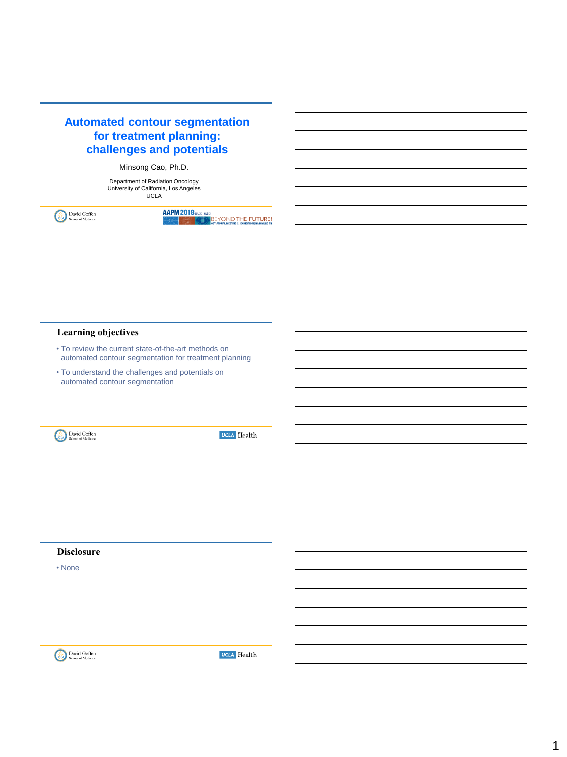

## Minsong Cao, Ph.D.

Department of Radiation Oncology University of California, Los Angeles UCLA

David Geffen<br>School of Medicine (S.)

**AAPM 2018** (NL23-4082)<br> **EXAMPLE SEX CONDITHE FUTURE!**<br>
SEX SOF ANNUAL METING & DONBITION | MASHVILLE TN

## **Learning objectives**

- To review the current state-of-the-art methods on automated contour segmentation for treatment planning
- To understand the challenges and potentials on automated contour segmentation



**UCLA** Health

#### **Disclosure**

• None

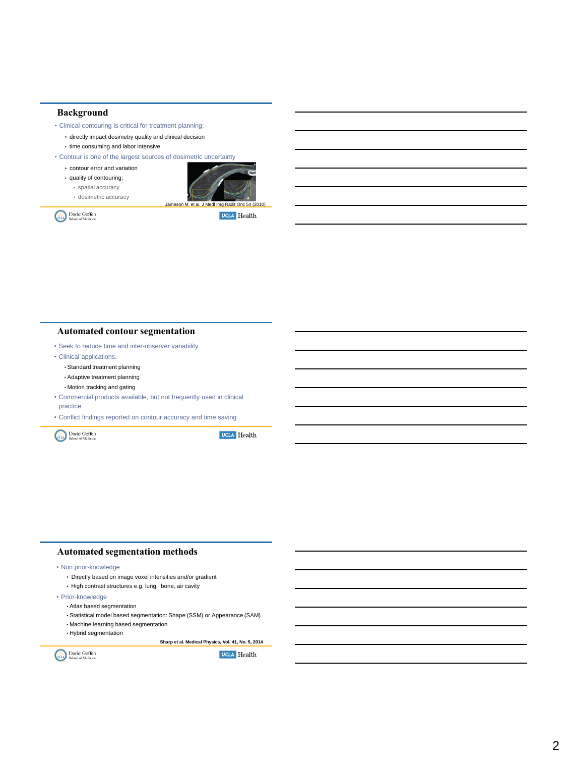#### **Background**

• Clinical contouring is critical for treatment planning:

- directly impact dosimetry quality and clinical decision • time consuming and labor intensive
- 
- Contour is one of the largest sources of dosimetric uncertainty
	- contour error and variation
	- quality of contouring: • spatial accuracy • dosimetric accuracy



David Geffen

**UCLA** Health

## **Automated contour segmentation**

- Seek to reduce time and inter-observer variability
- Clinical applications:
	- Standard treatment planning
	- Adaptive treatment planning
	- Motion tracking and gating
- Commercial products available, but not frequently used in clinical practice
- Conflict findings reported on contour accuracy and time saving

David Geffen

**UCLA** Health

#### **Automated segmentation methods**

• Non prior-knowledge

- Directly based on image voxel intensities and/or gradient
- High contrast structures e.g. lung, bone, air cavity
- Prior-knowledge
	- Atlas based segmentation
	- Statistical model based segmentation: Shape (SSM) or Appearance (SAM)
	- Machine learning based segmentation
	- Hybrid segmentation

**Sharp et al. Medical Physics, Vol. 41, No. 5, 2014**

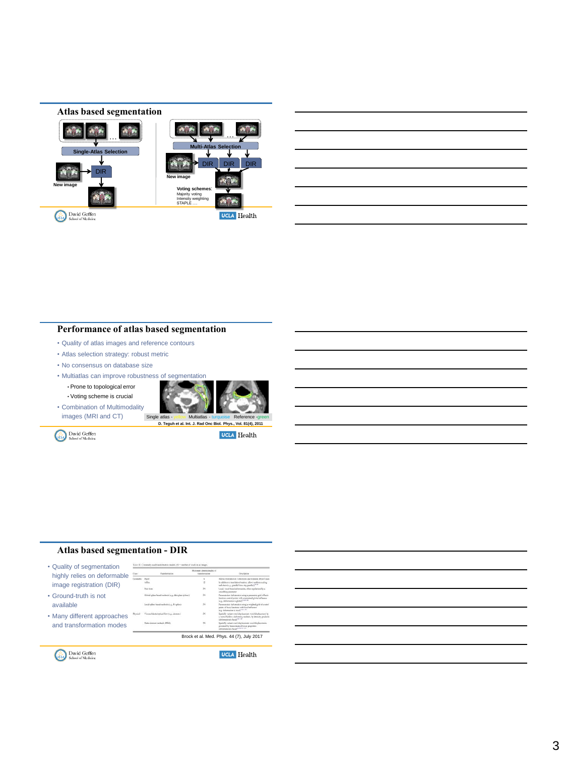## **Atlas based segmentation**



| ________                          |  |
|-----------------------------------|--|
| and the company of the company of |  |

## **Performance of atlas based segmentation**

- Quality of atlas images and reference contours
- Atlas selection strategy: robust metric
- No consensus on database size
- Multiatlas can improve robustness of segmentation • Prone to topological error • Voting scheme is crucial
- Combination of Multimodality images (MRI and CT)



David Geffen

**UCLA** Health

#### **Atlas based segmentation - DIR**



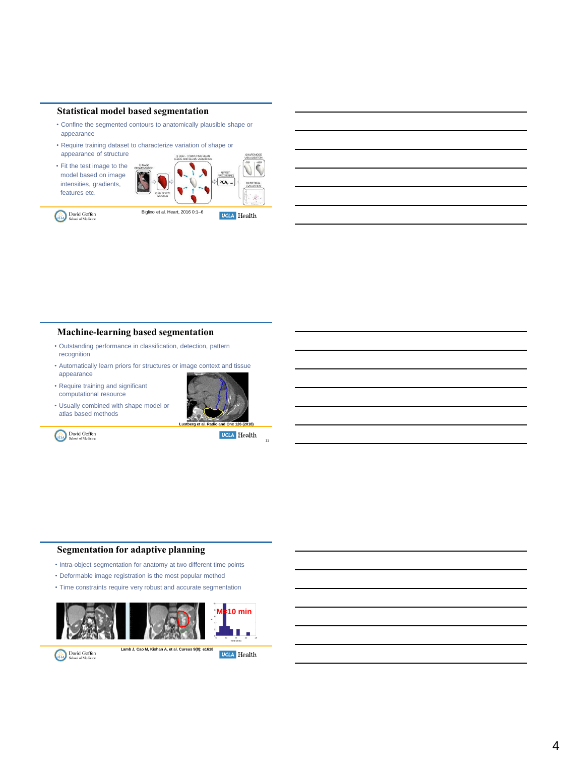#### **Statistical model based segmentation**

- Confine the segmented contours to anatomically plausible shape or appearance
- Require training dataset to characterize variation of shape or appearance of structure
- Fit the test image to the model based on image intensities, gradients, features etc.

David Geffen



**Machine-learning based segmentation** 

- Outstanding performance in classification, detection, pattern recognition
- Automatically learn priors for structures or image context and tissue appearance
- Require training and significant computational resource

David Geffen

• Usually combined with shape model or atlas based methods



**UCLA** Health

11

## **Segmentation for adaptive planning**

- Intra-object segmentation for anatomy at two different time points
- Deformable image registration is the most popular method
- Time constraints require very robust and accurate segmentation



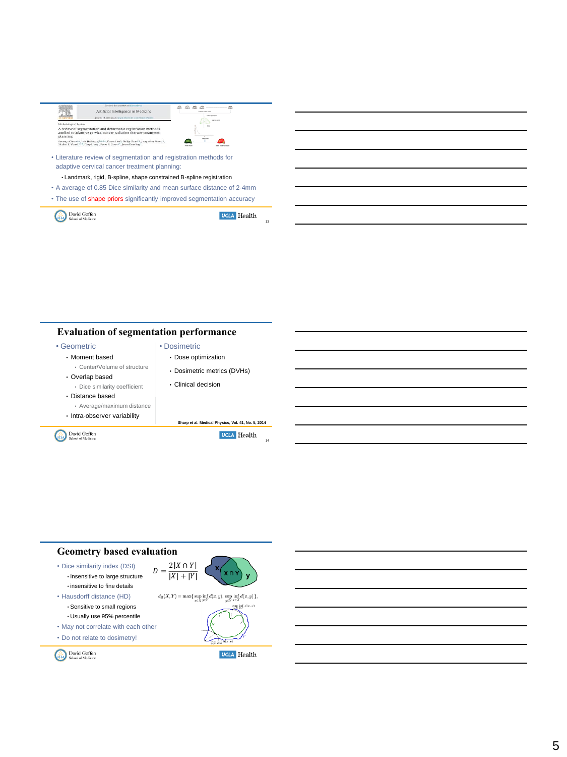|                                   | Contered into realishing it focused treat<br>Artificial Intelligence in Medicine<br>instruct homenage www.studyian.com/toxata/alias                                                                                                                     | <b>Right doesn't be provided</b><br>Affine capierador<br><b>Manuel autor</b> |  |  |  |
|-----------------------------------|---------------------------------------------------------------------------------------------------------------------------------------------------------------------------------------------------------------------------------------------------------|------------------------------------------------------------------------------|--|--|--|
| Methodological Review<br>planning | A review of segmentation and deformable registration methods<br>applied to adaptive cervical cancer radiation therapy treatment                                                                                                                         |                                                                              |  |  |  |
|                                   | Soumya Ghose 5.5, Lois Holloway hadde, Karen Lim <sup>0</sup> , Philip Chan <sup>1</sup> d, Jacqueline Veera <sup>b</sup> ,<br>Shalini K. Vinod <sup>164, S</sup> . Gary Liney <sup>1</sup> , Peter B. Greec <sup>14</sup> , Jason Dowling <sup>4</sup> | <b>Show and Controller</b>                                                   |  |  |  |
|                                   | • Literature review of segmentation and registration methods for<br>adaptive cervical cancer treatment planning:                                                                                                                                        |                                                                              |  |  |  |
|                                   | • Landmark, rigid, B-spline, shape constrained B-spline registration                                                                                                                                                                                    |                                                                              |  |  |  |

- A average of 0.85 Dice similarity and mean surface distance of 2-4mm • The use of shape priors significantly improved segmentation accuracy
- 

David Geffen

**UCLA** Health

13

## **Evaluation of segmentation performance**

• Geometric

- Moment based
- Center/Volume of structure
- Overlap based
- Dice similarity coefficient
- Distance based
- Average/maximum distance
- Intra-observer variability

David Geffen



• Dosimetric • Dose optimization

**Sharp et al. Medical Physics, Vol. 41, No. 5, 2014**

**UCLA** Health

14

# **Geometry based evaluation**

- Dice similarity index (DSI) • Insensitive to large structure • insensitive to fine details
- Hausdorff distance (HD) • Sensitive to small regions • Usually use 95% percentile
- May not correlate with each other
- Do not relate to dosimetry!

David Geffen



 $d_H(X, Y) = \max\{\sup_{x \in Y} \inf_{x \in Y} d(x, y), \sup_{x \in X} \inf_{x \in X} d(x, y)\},\$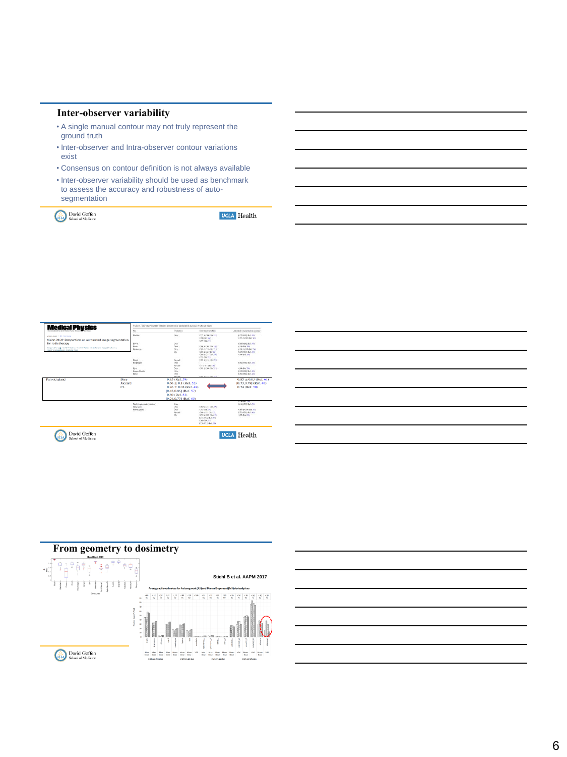## **Inter-observer variability**

- A single manual contour may not truly represent the ground truth
- Inter-observer and Intra-observer contour variations exist
- Consensus on contour definition is not always available
- Inter-observer variability should be used as benchmark to assess the accuracy and robustness of autosegmentation

David Geffen



| <u> 1989 - Johann Stoff, deutscher Stoffen und der Stoffen und der Stoffen und der Stoffen und der Stoffen und de</u> |  |  |  |  |
|-----------------------------------------------------------------------------------------------------------------------|--|--|--|--|
|                                                                                                                       |  |  |  |  |
|                                                                                                                       |  |  |  |  |
|                                                                                                                       |  |  |  |  |
|                                                                                                                       |  |  |  |  |
|                                                                                                                       |  |  |  |  |
|                                                                                                                       |  |  |  |  |





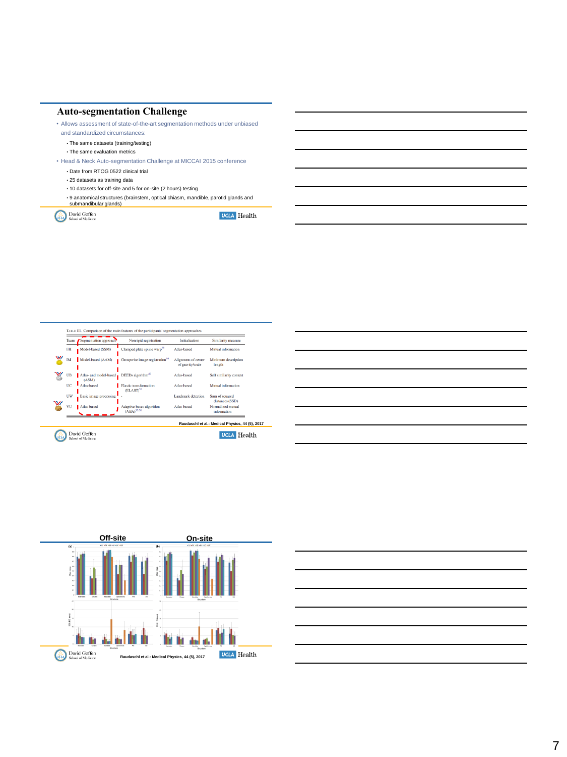#### **Auto-segmentation Challenge**

• Allows assessment of state-of-the-art segmentation methods under unbiased

- and standardized circumstances:
- The same datasets (training/testing)
- The same evaluation metrics

• Head & Neck Auto-segmentation Challenge at MICCAI 2015 conference

- Date from RTOG 0522 clinical trial
- 25 datasets as training data
- 10 datasets for off-site and 5 for on-site (2 hours) testing
- 9 anatomical structures (brainstem, optical chiasm, mandible, parotid glands and submandibular glands)

David Geffen





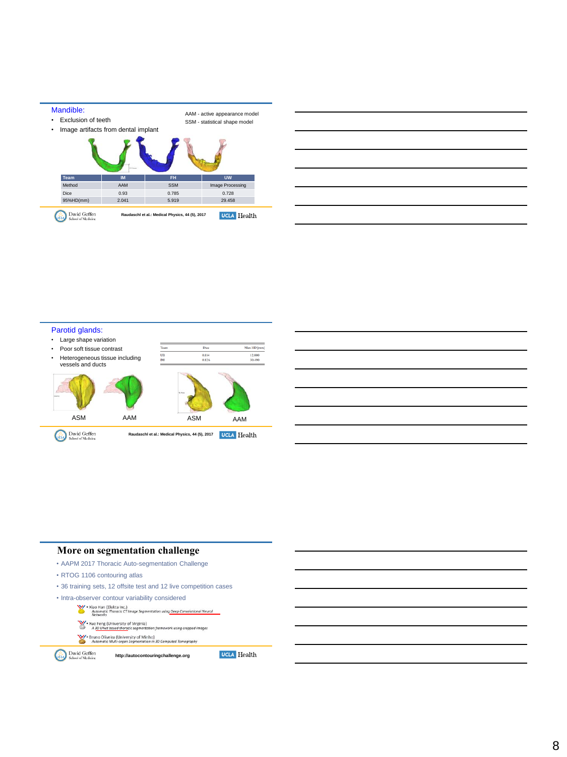



# Parotid glands:



## **More on segmentation challenge**

- AAPM 2017 Thoracic Auto-segmentation Challenge
- RTOG 1106 contouring atlas
- 36 training sets, 12 offsite test and 12 live competition cases
- Intra-observer contour variability considered<br>
W Xiao Han (Elekta Inc.)<br>
Methworks: Thronoic CT Image Segmentation using Deep Convolutional Neural<br>
Methworks
	-
	- $\mathbb{W}$  \* Xue Feng (University of Virginia)<br>A 3D UNet based thoracic segmenta ework using cropped images
	-
	- V + Bruno Oliveira (University of Minho)<br>Automatic Multi-organ Segmentation in 3D Cor

**http://autocontouringchallenge.org**

David Geffen